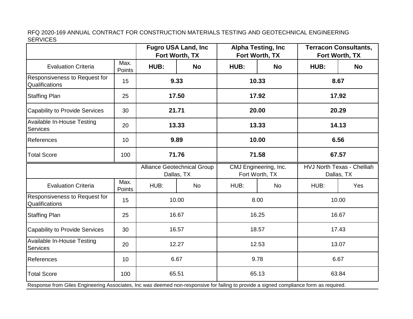RFQ 2020-169 ANNUAL CONTRACT FOR CONSTRUCTION MATERIALS TESTING AND GEOTECHNICAL ENGINEERING SERVICES

|                                                                                                                                        |                |                                                  | <b>Fugro USA Land, Inc.</b><br>Fort Worth, TX | <b>Alpha Testing, Inc.</b><br>Fort Worth, TX |           | <b>Terracon Consultants,</b><br>Fort Worth, TX  |           |  |
|----------------------------------------------------------------------------------------------------------------------------------------|----------------|--------------------------------------------------|-----------------------------------------------|----------------------------------------------|-----------|-------------------------------------------------|-----------|--|
| <b>Evaluation Criteria</b>                                                                                                             | Max.<br>Points | HUB:                                             | <b>No</b>                                     | HUB:                                         | <b>No</b> | HUB:                                            | <b>No</b> |  |
| Responsiveness to Request for<br>Qualifications                                                                                        | 15             | 9.33                                             |                                               | 10.33                                        |           | 8.67                                            |           |  |
| <b>Staffing Plan</b>                                                                                                                   | 25             | 17.50                                            |                                               | 17.92                                        |           |                                                 | 17.92     |  |
| Capability to Provide Services                                                                                                         | 30             | 21.71                                            |                                               | 20.00                                        |           | 20.29                                           |           |  |
| Available In-House Testing<br><b>Services</b>                                                                                          | 20             | 13.33                                            |                                               | 13.33                                        |           | 14.13                                           |           |  |
| References                                                                                                                             | 10             | 9.89                                             |                                               | 10.00                                        |           | 6.56                                            |           |  |
| <b>Total Score</b>                                                                                                                     | 100            | 71.76                                            |                                               | 71.58                                        |           | 67.57                                           |           |  |
|                                                                                                                                        |                | <b>Alliance Geotechnical Group</b><br>Dallas, TX |                                               | CMJ Engineering, Inc.<br>Fort Worth, TX      |           | <b>HVJ North Texas - Chelliah</b><br>Dallas, TX |           |  |
| <b>Evaluation Criteria</b>                                                                                                             | Max.<br>Points | HUB:                                             | <b>No</b>                                     | HUB:                                         | <b>No</b> | HUB:                                            | Yes       |  |
| Responsiveness to Request for<br>Qualifications                                                                                        | 15             | 10.00                                            |                                               | 8.00                                         |           | 10.00                                           |           |  |
| <b>Staffing Plan</b>                                                                                                                   | 25             | 16.67                                            |                                               | 16.25                                        |           | 16.67                                           |           |  |
| <b>Capability to Provide Services</b>                                                                                                  | 30             | 16.57                                            |                                               | 18.57                                        |           | 17.43                                           |           |  |
| Available In-House Testing<br>Services                                                                                                 | 20             | 12.27                                            |                                               | 12.53                                        |           | 13.07                                           |           |  |
| References                                                                                                                             | 10             | 6.67                                             |                                               | 9.78                                         |           | 6.67                                            |           |  |
| <b>Total Score</b>                                                                                                                     | 100            | 65.51                                            |                                               | 65.13                                        |           | 63.84                                           |           |  |
| Response from Giles Engineering Associates, Inc was deemed non-responsive for failing to provide a signed compliance form as required. |                |                                                  |                                               |                                              |           |                                                 |           |  |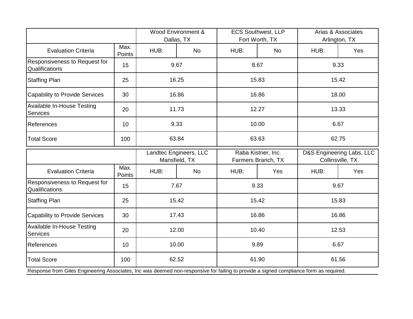|                                                                                                                                        |                       | Wood Environment &<br>Dallas, TX        |           | <b>ECS Southwest, LLP</b><br>Fort Worth, TX |           | Arias & Associates<br>Arlington, TX           |     |
|----------------------------------------------------------------------------------------------------------------------------------------|-----------------------|-----------------------------------------|-----------|---------------------------------------------|-----------|-----------------------------------------------|-----|
| <b>Evaluation Criteria</b>                                                                                                             | Max.<br><b>Points</b> | HUB:                                    | <b>No</b> | HUB:                                        | <b>No</b> | HUB:                                          | Yes |
| Responsiveness to Request for<br>Qualifications                                                                                        | 15                    | 9.67                                    |           | 8.67                                        |           | 9.33                                          |     |
| <b>Staffing Plan</b>                                                                                                                   | 25                    | 16.25                                   |           | 15.83                                       |           | 15.42                                         |     |
| <b>Capability to Provide Services</b>                                                                                                  | 30                    | 16.86                                   |           | 16.86                                       |           | 18.00                                         |     |
| <b>Available In-House Testing</b><br>Services                                                                                          | 20                    | 11.73                                   |           | 12.27                                       |           | 13.33                                         |     |
| References                                                                                                                             | 10                    | 9.33                                    |           | 10.00                                       |           | 6.67                                          |     |
| <b>Total Score</b>                                                                                                                     | 100                   | 63.84                                   |           | 63.63                                       |           | 62.75                                         |     |
|                                                                                                                                        |                       | Landtec Engineers, LLC<br>Mansfield, TX |           | Raba Kistner, Inc.<br>Farmers Branch, TX    |           | D&S Engineering Labs, LLC<br>Collinsville, TX |     |
| <b>Evaluation Criteria</b>                                                                                                             | Max.<br>Points        | HUB:                                    | <b>No</b> | HUB:                                        | Yes       | HUB:                                          | Yes |
| Responsiveness to Request for<br>Qualifications                                                                                        | 15                    | 7.67                                    |           | 9.33                                        |           | 9.67                                          |     |
| <b>Staffing Plan</b>                                                                                                                   | 25                    | 15.42                                   |           | 15.42                                       |           | 15.83                                         |     |
| <b>Capability to Provide Services</b>                                                                                                  | 30                    | 17.43                                   |           | 16.86                                       |           | 16.86                                         |     |
| <b>Available In-House Testing</b><br>Services                                                                                          | 20                    | 12.00                                   |           | 10.40                                       |           | 12.53                                         |     |
| References                                                                                                                             | 10                    | 10.00                                   |           | 9.89                                        |           | 6.67                                          |     |
| <b>Total Score</b>                                                                                                                     | 100                   | 62.52                                   |           | 61.90                                       |           | 61.56                                         |     |
| Response from Giles Engineering Associates, Inc was deemed non-responsive for failing to provide a signed compliance form as required. |                       |                                         |           |                                             |           |                                               |     |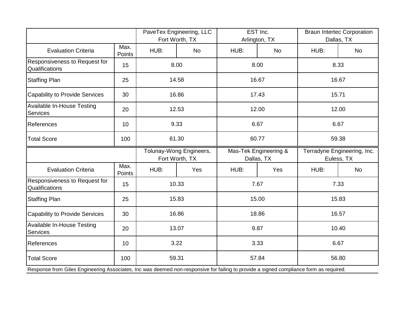|                                                                                                                                        |                | PaveTex Engineering, LLC<br>Fort Worth, TX |           | EST Inc.<br>Arlington, TX           |           | <b>Braun Intertec Corporation</b><br>Dallas, TX |           |
|----------------------------------------------------------------------------------------------------------------------------------------|----------------|--------------------------------------------|-----------|-------------------------------------|-----------|-------------------------------------------------|-----------|
| <b>Evaluation Criteria</b>                                                                                                             | Max.<br>Points | HUB:                                       | <b>No</b> | HUB:                                | <b>No</b> | HUB:                                            | <b>No</b> |
| Responsiveness to Request for<br>Qualifications                                                                                        | 15             | 8.00                                       |           | 8.00                                |           | 8.33                                            |           |
| <b>Staffing Plan</b>                                                                                                                   | 25             | 14.58                                      |           | 16.67                               |           | 16.67                                           |           |
| <b>Capability to Provide Services</b>                                                                                                  | 30             | 16.86                                      |           | 17.43                               |           | 15.71                                           |           |
| Available In-House Testing<br><b>Services</b>                                                                                          | 20             | 12.53                                      |           | 12.00                               |           | 12.00                                           |           |
| References                                                                                                                             | 10             | 9.33                                       |           | 6.67                                |           | 6.67                                            |           |
| <b>Total Score</b>                                                                                                                     | 100            | 61.30                                      |           | 60.77                               |           | 59.38                                           |           |
|                                                                                                                                        |                | Tolunay-Wong Engineers,<br>Fort Worth, TX  |           | Mas-Tek Engineering &<br>Dallas, TX |           | Terradyne Engineering, Inc.<br>Euless, TX       |           |
| <b>Evaluation Criteria</b>                                                                                                             | Max.<br>Points | HUB:                                       | Yes       | HUB:                                | Yes       | HUB:                                            | No        |
| Responsiveness to Request for<br>Qualifications                                                                                        | 15             | 10.33                                      |           | 7.67                                |           | 7.33                                            |           |
| <b>Staffing Plan</b>                                                                                                                   | 25             | 15.83                                      |           | 15.00                               |           | 15.83                                           |           |
| <b>Capability to Provide Services</b>                                                                                                  | 30             | 16.86                                      |           | 18.86                               |           | 16.57                                           |           |
| Available In-House Testing<br>Services                                                                                                 | 20             | 13.07                                      |           | 9.87                                |           | 10.40                                           |           |
| References                                                                                                                             | 10             | 3.22                                       |           | 3.33                                |           | 6.67                                            |           |
| <b>Total Score</b>                                                                                                                     | 100            | 59.31                                      |           | 57.84                               |           | 56.80                                           |           |
| Response from Giles Engineering Associates, Inc was deemed non-responsive for failing to provide a signed compliance form as required. |                |                                            |           |                                     |           |                                                 |           |